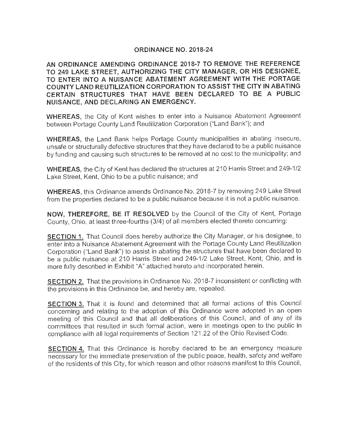# **ORDINANCE NO. 2018-24**

**AN ORDINANCE AMENDING ORDINANCE 2018-7 TO REMOVE THE REFERENCE**  TO 249 LAKE STREET, AUTHORIZING THE CITY MANAGER, OR HIS DESIGNEE, **TO ENTER INTO A NUISANCE ABATEMENT AGREEMENT WITH THE PORTAGE COUNTY LAND REUTILIZATION CORPORATION TO ASSIST THE CITY IN ABATING CERTAIN STRUCTURES THAT HAVE BEEN DECLARED TO BE A PUBLIC NUISANCE, AND DECLARING AN EMERGENCY.** 

**WHEREAS,** the City of Kent wishes to enter into a Nuisance Abatement Agreement between Portage County Land Reutilization Corporation ("Land Bank"); and

**WHEREAS,** the Land Bank helps Portage County municipalities in abating insecure, unsafe or structurally defective structures that they have declared to be a public nuisance by funding and causing such structures to be removed at no cost to the municipality; and

**WHEREAS, the City of Kent has declared the structures at 210 Harris Street and 249-1/2** Lake Street, Kent, Ohio to be a public nuisance; and

**WHEREAS,** this Ordinance amends Ordinance No. 2018-7 by removing 249 Lake Street from the properties declared to be a public nuisance because it is not a public nuisance.

**NOW, THEREFORE, BE IT RESOLVED** by the Council of the City of Kent, Portage County, Ohio, at least three-fourths (3/4) of all members elected thereto concurring:

**SECTION 1.** That Council does hereby authorize the City Manager, or his designee, to enter into a Nuisance Abatement Agreement with the Portage County Land Reutilization Corporation ("Land Bank") to assist in abating the structures that have been declared to be a public nuisance at 210 Harris Street and 249-1/2 Lake Street, Kent, Ohio, and is more fully described in Exhibit "A" attached hereto and incorporated herein.

**SECTION 2.** That the provisions in Ordinance No. 2018-7 inconsistent or conflicting with the provisions in this Ordinance be, and hereby are, repealed .

**SECTION 3.** That it is found and determined that all formal actions of this Council concerning and relating to the adoption of this Ordinance were adopted in an open meeting of this Council and that all deliberations of this Council, and of any of its committees that resulted in such formal action, were in meetings open to the public in compliance with all legal requirements of Section 121.22 of the Ohio Revised Code.

**SECTION 4.** That this Ordinance is hereby declared to be an emergency measure necessary for the immediate preservation of the public peace, health, safety and welfare of the residents of this City, for which reason and other reasons manifest to this Council,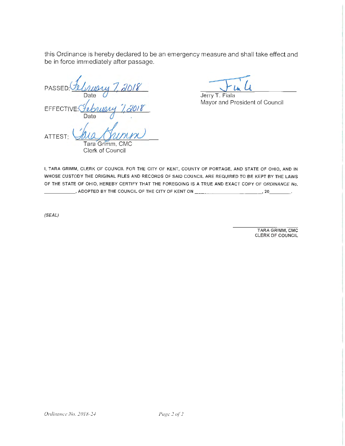this Ordinance is hereby declared to be an emergency measure and shall take effect and be in force immediately after passage.

 $PASSED: \frac{f_{2}}{Date}$ **EFFECTIVE** Date  $\emptyset$  . PASSED: TUBLICALLY 7, 2018<br>
Date Jerry T<br>
EFFECTIVE: Tublically 7, 2018<br>
ATTEST: MULAUMIN

Clerk of Council

Jerry T. Fiala Mayor and President of Council

I, TARA GRIMM, CLERK OF COUNCIL FOR THE CITY OF KENT, COUNTY OF PORTAGE, AND STATE OF OHIO, AND IN WHOSE CUSTODY THE ORIGINAL FILES AND RECORDS OF SAID COUNCIL ARE REQUIRED TO BE KEPT BY THE LAWS OF THE STATE OF OHIO, HEREBY CERTIFY THAT THE FOREGOING IS A TRUE AND EXACT COPY OF ORDINANCE No.  $\_$ , ADOPTED BY THE COUNCIL OF THE CITY OF KENT ON  $\_\_\_\_\_\_\_\_\_\_\_\_\_$ 

(SEAL)

TARA GRIMM, CMC CLERK OF COUNCIL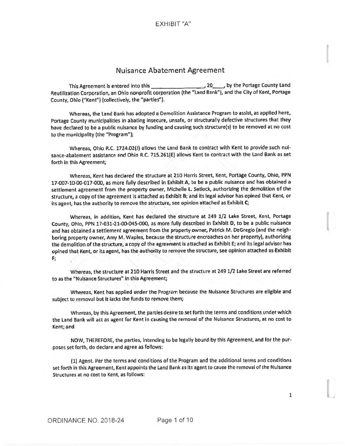# Nuisance Abatement Agreement

This Agreement is entered into this-------~ 20\_\_, by the Portage County Land Reutilization Corporation, an Ohio nonprofit corporation (the "Land Bank"), and the City of Kent, Portage County, Ohio ("Kent") (collectively, the "parties").

Whereas, the Land Bank has adopted a Demolition Assistance Program to assist, as applied here, Portage County municipalities in abating insecure, unsafe, or structurally defective structures that they have declared to be a public nuisance by funding and causing such structure(s) to be removed at no cost to the municipality (the "Program");

Whereas, Ohio R.C. 1724.02(1) allows the Land Bank to contract with Kent to provide such nuisance-abatement assistance and Ohio R.C. 715.261(E) allows Kent to contract with the Land Bank as set forth in this Agreement;

Whereas, Kent has declared the structure at,210 Harris Street, Kent, Portage County, Ohio, PPN 17-007-10-00-017-000, as more fully described in Exhibit A, to be a public nuisance and has obtained a settlement agreement from the property owner, Michelle L. Setlock, authorizing the demolition of the structure, a copy of the agreement is attached as EKhiblt B; and its legal advisor has opined that Kent, or its agent, has the authority to remove the structure, see opinion attached as **Exhibit C;** 

Whereas, in addition, Kent has declared the structure at 249 1/2 Lake Street, Kent, Portage County, Ohio, PPN 17·031-21-00-045·000, as more fully described in Exhibit D, to be a public nuisance and has obtained a settlement agreement from the property owner, Patrick M. DeGregio (and the neighboring property owner, Amy M. Waples, because the structure encroaches on her property), authorizing the demolition of the structure, a copy of the agreement is attached as Exhibit E; and its legal advisor has opined that Kent, or its agent, has the authority to remove the structure, see opinion attached as **Exhibit F;** 

Whereas, the structure at 210 Harris Street and the structure at 249 1/2 Lake Street are referred to as the "Nuisance Structures" in this Agreement;

Whereas, Kent has applied under the Program because the Nuisance Structures are eligible and subject to removal but It lacks the funds to remove them;

Whereas, by this Agreement, the parties desire to set forth the terms and conditions under which the Land Bank will act as agent for Kent in causing the removal of the Nuisance Structures, at no cost to Kent; and

NOW, THEREFORE, the parties, Intending to be legally bound by this Agreement, and for the purposes set forth, do declare and agree as follows:

(1) Agent. Per the terms and conditions of the Program and the additional terms and conditions set forth in this Agreement, Kent appoints the Land Bank as its agent to cause the removal of the Nuisance Structures at no cost to Kent, as follows:

1

I

I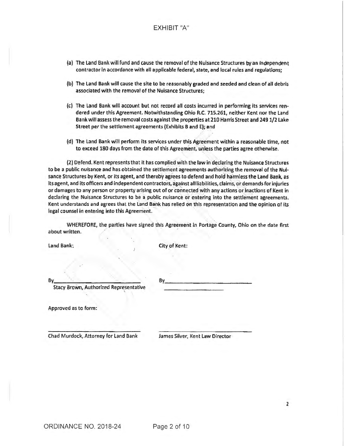# EXHIBIT "A"

- (a) The Land Bank will fund and cause the removal of the Nuisance Structures by an Independent contractor in accordance with all applicable federal, state, and local rules and regulations;
- (b) The Land Bank will cause the site to be reasonably graded and seeded and clean of all debris associated with the removal of the Nuisance Structures;
- (c) The Land Bank will account but not record all costs incurred in performing its services rendered under this Agreement. Notwithstanding Ohio R.C. 715.261, neither Kent nor the Land Bank will assess the removal costs against the properties at 210 Harris Street and 249 1/2 Lake Street per the settlement agreements (Exhibits B and E); and
- (d) The Land Bank will perform its services under this Agreement within a reasonable time, not to exceed 180 days from the date of this Agreement, unless the parties agree otherwise.

(2) Defend. Kent represents that it has complied with the law in declaring the Nuisance Structures to be a public nufsance and has obtained the settlement agreements authorizing the removal of the Nuisance Structures by Kent, or Its agent, and thereby agrees to defend and hold harmless the Land Bank, as its agent, and its officers and independent contractors, against all liabilities, claims, or demands for injuries or damages to any person or property arising out of or connected with any actions or Inactions of Kent in declaring the Nuisance Structures to be a public nuisance or entering into the settlement agreements. Kent understands and agrees that the Land Bank has relied on this representation and the opinion of its legal counsel in entering into this Agreement.

WHEREFORE, the parties have signed this Agreement in Portage County, Ohio on the date first about written.

land Bank: City of Kent:

Stacy Brown, Authorized Representative

 $Bv$  . By  $\overline{\phantom{a}}$ 

Approved as to form:

Chad Murdock, Attorney for Land Bank James Silver, Kent Law Director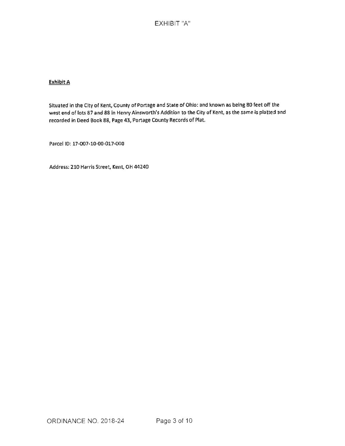# EXHIBIT "A"

### **Exhibit A**

Situated in the City of Kent, County of Portage and State of Ohio: and known as being 80 feet off the west end of lots 87 and 88 in Henry Ainsworth's Addition to the City of Kent, as the same is platted and recorded in 0eed Book 88, Page 43, Portage County Records of Plat.

Parcel ID: 17-007-10-00-017-000

Address: 210 Harris Street, Kent, OH 44240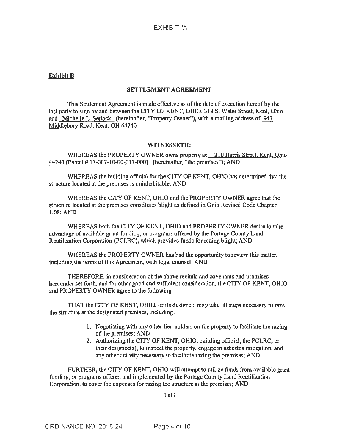### **Exhibit B**

### **SETTLEMENT AGREEMENT**

This Settlement Agreement is made effective as of the date of execution hereof by the last party to sign by and between the CITY OF KENT, OHIO, 319 S. Water Street, Kent, Ohio and Michelle L. Setlock (hereinafter, "Property Owner"), with a mailing address of 947 Middlebury Road. Kent, OH 44240.

#### **WITNESSETH:**

WHEREAS the PROPERTY OWNER owns property at 210 Harris Street, Kent, Ohio 44240 (Parcel# 17-007-10-00-017-000) (hereinafter, "the premises"); AND

WHEREAS the building official for the CITY OF KENT, OHIO has determined that the structure located at the premises is uninhabitable; AND

WHEREAS the CITY OF KENT, OHIO and the PROPERTY OWNER agree that the structure located at the premises constitutes blight as defined in Ohio Revised Code Chapter 1.08; AND

WHEREAS both the CITY OF KENT, OHIO and PROPERTY OWNER desire to take advantage of available grant funding; or programs offered by the Portage County Land Reutilization Corporation (PCLRC), which provides funds for razing blight; AND

WHEREAS the PROPERTY OWNER has had the opportunity to review this matter, including the terms of this Agreement, with legal counsel; AND

THEREFORE, in consideration of the above recitals and covenants and promises hereunder set forth, and for other good and sufficient consideration, the CITY OF KENT, OHIO and PROPERTY OWNER agree to the following:

THAT the CITY OF KENT, OHIO, or its designee, may take all steps necessary to raze the structure at the designated premises, including:

- 1. Negotiating with any other lien holders on the property to facilitate the razing of the premises; AND
- 2. Authorizing the CITY OF KENT, OHIO, building official, the PCLRC, or their designee(s), to inspect the property, engage in asbestos mitigation, and any other activity necessary to facilitate razing the premises; AND

FURTHER, the CITY OF KENT, OHIO will attempt to utilize funds from available grant funding, or programs offered and implemented by the Portage County Land Reutilization Corporation, to cover the expenses for razing the structure at the premises; AND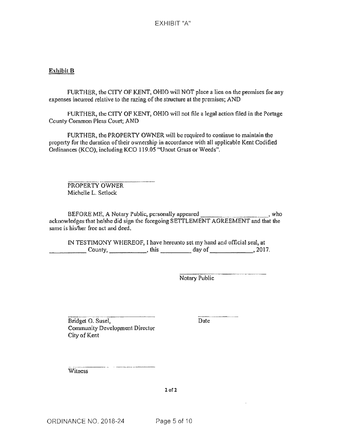### **Exhibit B**

FURTHER, the CITY OF KENT, OHIO will NOT place a lien on the premises for any expenses incurred relative to the razing of the structure at the premises; AND

FURTHER, the CITY OF KENT, OHIO will not file a legal action filed in the Portage County Common Pleas Court; AND

FURTHER, the PROPERTY OWNER will be required to continue to maintain the property for the duration of their ownership in accordance with all applicable Kent Codified Ordinances (KCO), including KCO 119.05 "Uncut *Grass* or Weeds".

PROPERTY OWNER Michelle L. Setlock

BEFORE ME, A Notary Public, personally appeared \_\_\_\_\_\_\_\_\_\_ , who acknowledges that he/she did sign the foregoing SETTLEMENT AGREEMENT and that the same is his/her free act and deed.

IN TESTIMONY WHEREOF, I have hereunto set my hand and official seal, at County, \_\_\_\_\_\_\_\_\_\_\_, this \_\_\_\_\_\_\_\_\_\_ day of \_\_\_\_\_\_\_\_\_\_\_\_, 2017.

Notary Public

Bridget 0. Susel, Community Development Director City of Kent

Date

Witness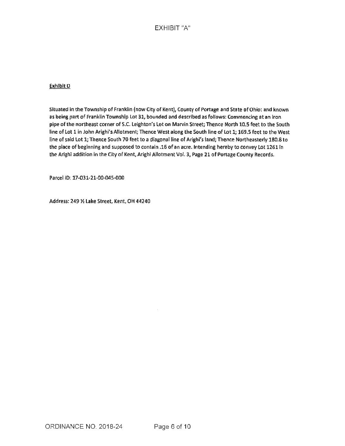# EXHIBIT "A"

#### Exhibit 0

Situated In the Township of Franklin (now City of Kent), County of Ponage and State of Ohio: and known as being part of Franklin Township Lot 31, bounded and described as follows: Commencing at an iron pipe of the northeast corner of S.C. Leighton's Lot on Marvin Street; Thence North 10.S feet to the South line of Lot 1 in John Arighi's Allotment; Thence West along the South line of Lot l; 169.S feet to the West line of said Lot 1; Thence South 70 feet to a diagonal line of Arighi's land; Thence Northeasterly 180.8 to the place of beginning and supposed to contain .16 of an acre. Intending hereby to convey Lot 1261 In the Arighi addition in the City of Kent, Arighi Allotment Vol. 3, Page 21 of Portage County Records.

Parcel ID: 17-031-21-00-045-000

Address: 249 *½* Lake Street, Kent, OH 44240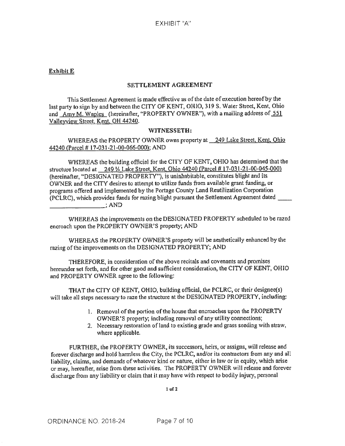### **Exhibit E**

### **SETTLEMENT AGREEMENT**

This Settlement Agreement is made effective as of the date of execution hereof by the last party to sign by and between the CITY OF KENT, OHIO, 319 S. Water Street, Kent, Ohio and Amy M. Waples (hereinafter, "PROPERTY OWNER"), with a mailing address of 551 Valleyview Street, Kent. OH 44240.

### **WITNESSETH:**

WHEREAS the PROPERTY OWNER owns property at 249 Lake Street, Kent, Ohio 44240 {Parcel# 17-031 -21-00-066-000): AND

WHEREAS the building official for the CITY OF KENT, OHIO has determined that the structure located at 249 Y<sub>2</sub> Lake Street, Kent, Ohio 44240 (Parcel # 17-031-21-00-045-000) (hereinafter, "DESIGNATED PROPERTY"), is uninhabitable, constitutes blight and its OWNER and the CITY desires to attempt to utilize funds from available grant funding, or programs offered and implemented by the Portage County Land Reutilization Corporation (PCLRC), which provides funds for razing blight pursuant the Settlement Agreement dated \_\_\_\_\_\_\_\_\_\_\_\_\_\_\_\_; AND

WHEREAS the improvements on the DESIGNATED PROPERTY scheduled to be razed encroach upon the PROPERTY OWNER'S property; AND

WHEREAS the PROPERTY OWNER'S property will be aesthetically enhanced by the razing of the improvements on the DESIGNATED PROPERTY; AND

THEREFORE, in consideration of the above recitals and covenants nnd promises hereunder set forth, and for other good and sufficient consideration, the CITY OF KENT, OHIO and PROPERTY OWNER agree to the following:

THAT the CITY OF KENT, OHIO, building official, the PCLRC, or their designee(s) will take all steps necessary to raze the structure at the DESIGNATED PROPERTY, including:

- 1. Removal of the portion of the house that encroaches upon the PROPERTY OWNER'S property; including removal of any utility connections;
- 2. Necessary restoration of land to existing grade and grass seeding with straw, where applicable.

FURTHER, the PROPERTY OWNER, its successors, heirs, or assigns, will release and forever discharge and hold harmless the City, the PCLRC, and/or its contractors from any and all liability, claims, and demands of whatever kind or nature, either in law or in equity, which arise or may, hereafter, arise from these activities. The PROPERTY OWNER will release and forever discharge from any liability or claim that it may have with respect to bodily injury, personal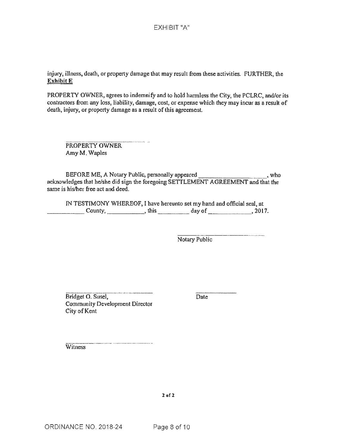injury, illness, death, or property damage that may result from these activities. FURTHER, the **Exhibit E** 

PROPERTY OWNER, agrees to indemnify and to hold harmless the City, the PCLRC, and/or its contractors from any loss, liability, damage, cost, or expense which they may incur as a result of death, injury, or property damage as a result of this agreement.

PROPERTY OWNER Amy M. Waples

BEFORE ME, A Notary Public, personally appeared \_\_\_\_\_\_\_\_\_\_\_\_\_\_\_\_\_\_\_\_\_\_\_\_\_\_\_\_, who acknowledges that he/she did sign the foregoing SETTLEMENT AGREEMENT and that the same is his/her free act and deed.

IN TESTIMONY WHEREOF, I have hereunto set my hand and official seal, at  $\begin{array}{c} \text{Country,} \\ \text{this} \end{array}$  day of  $\begin{array}{c} \text{days,} \\ \text{axis,} \end{array}$ 

Notary Public

Bridget 0. Susel, Community Development Director City of Kent

Date

**Witness**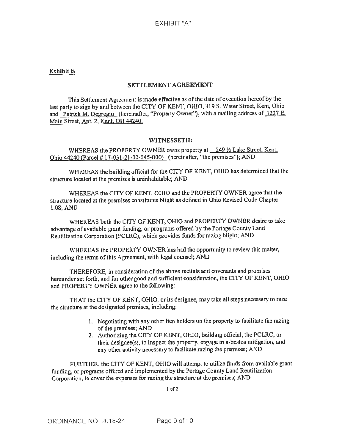# **Exhibit E**

### **SETTLEMENT AGREEMENT**

This Settlement Agreement is made effective as of the date of execution hereof by the last party to sign by and between the CITY OF KENT, OHIO, 319 S. Water Street, Kent, Ohio and Patrick M. Degregio (hereinafter, "Property Owner"), with a mailing address of 1227 E. Main Street, Apt. 2, Kent, OH 44240.

### WITNESSETH:

WHEREAS the PROPERTY OWNER owns property at  $249\%$  Lake Street, Kent, Ohio 44240 {Parcel # 1 7-031-21-00-045-000) (hereinafter, "the premises"); AND

WHEREAS the building official for the CITY OF KENT, OHIO has detennined that the structure located at the premises is uninhabitable; AND

WHEREAS the CITY OF KENT, OHIO and the PROPERTY OWNER agree that the structure located at the premises constitutes blight as defined in Ohio Revised Code Chapter 1.08; AND

WHEREAS both the CJTY OF KENT, OHIO and PROPERTY OWNER desire to take advantage of available grant funding, or programs offered by the Portage County Land Reutilization Corporation (PCLRC), which provides funds for razing blight; AND

WHEREAS the PROPERTY OWNER has had the opportunity to review this matter, including the terms of this Agreement, with legal counsel; AND

THEREFORE, in consideration of the above recitals and covenants and promises hereunder set forth, and for other good and sufficient consideration, the CITY OF KENT, OHIO and PROPERTY OWNER agree to the following:

THAT the CITY OF KENT, OHIO, or its designee, may take all steps necessary to raze the structure at the designated premises, including:

- 1. Negotiating with any other lien holders on the property to facilitate the razing of the premises; AND
- 2. Authorizing the ClTY OF KENT, OHIO, building official, the PCLRC, or their designee(s), to inspect the property, engage in asbestos mitigation, and any other activity necessary to facilitate razing the premises; AND

FURTHER, the CITY OF KENT, OHIO will attempt to utilize funds from available grant funding, or programs offered and implemented by the Portage County Land Reutilization Corporation, to cover the expenses for razing the structure at the premises; AND